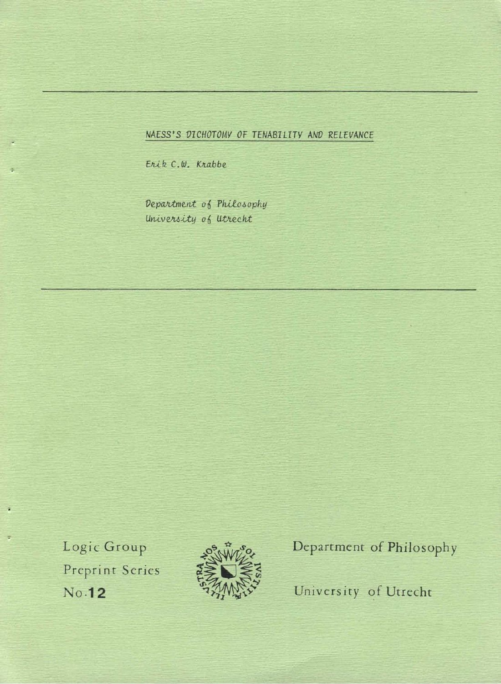# *NAESS'S VICHOTOMY* OF *TENABILITY ANV RELEVANCE*

Erik C.W. Krabbe

 $p$ epartment of Philosophy University of Utrecht

Logic Group Preprint Series **No.12** 



Department of Philosophy

University of Utrecht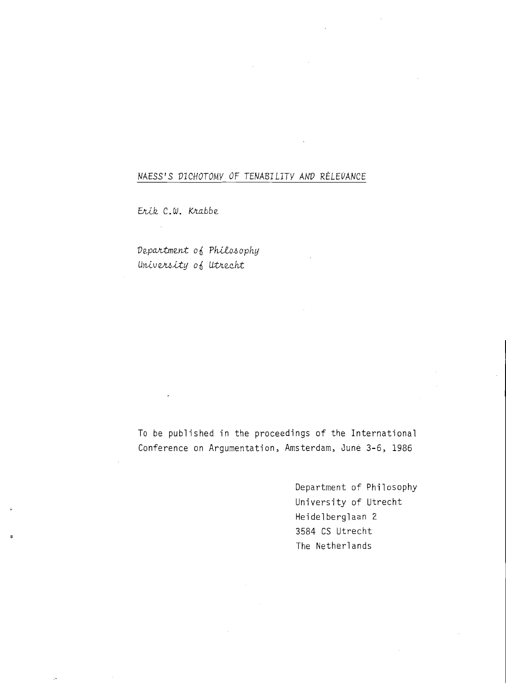# *NAESS'S VICHOTOMY OF TENABILITY AND RELEVANCE*

Erik C.W. Krabbe

Department of Philosophy Univers*ity* of Utrecht

To be published in the proceedings of the International Conference on Argumentation, Amsterdam, June 3-6, 1986

> Department of Philosophy University of Utrecht Heidelberglaan 2 3584 CS Utrecht The Netherlands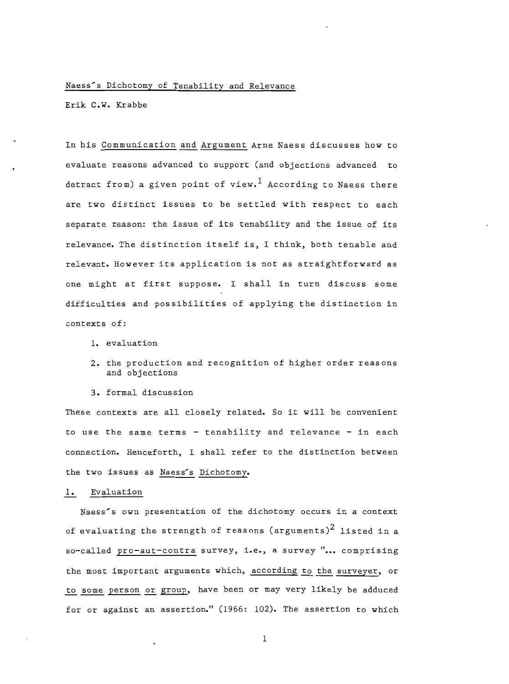#### Naess's Dichotomy of Tenability and Relevance

Erik C.W. Krabbe

In his Communication and Argument Arne Naess discusses how to evaluate reasons advanced to support (and objections advanced to detract from) a given point of view.<sup>1</sup> According to Naess there are *two* distinct issues to be settled with respect to each separate reason: the issue of its tenability and the issue of its relevance. The distinction itself is, I think, both tenable and relevant. However its application is not as straightforward as one might at first suppose. I shall in turn discuss some difficulties and possibilities of applying the distinction in contexts of:

- 1. evaluation
- 2. the production and recognition of higher order reas ons and objections
- 3. formal discussion

These contexts are all closely related. So it will be convenient to use the same terms  $-$  tenability and relevance  $-$  in each connection. Henceforth, I shall refer to the distinction between the two issues as Naess's Dichotomy.

#### 1. Evaluation

Naess's own presentation of the dichotomy occurs in a context of evaluating the strength of reasons (arguments)<sup>2</sup> listed in a so-called pro-aut-contra survey, i.e., a survey "... comprising the most important arguments which, according to the surveyer, or to some person or group, have been or may very likely be adduced for or against an assertion." (1966: 102). The assertion to which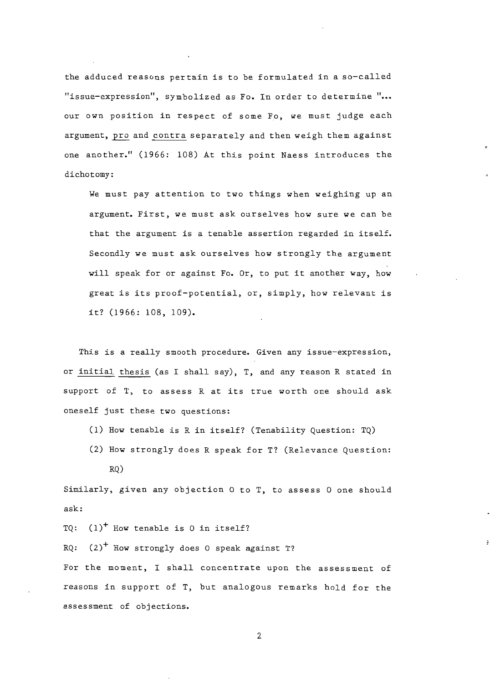the adduced reasons pertain is to be formulated in a so-called "issue-expression", symbolized as Fo. In order to determine **" •••**  our own position in respect of some Fo, we must judge each argument, pro and contra separately and then weigh them against one another." (1966: 108) At this point Naess introduces the dichotomy:

We must pay attention to two things when weighing up an argument. First, we must ask ourselves how sure we can be that the argument is a tenable assertion regarded in itself. Secondly we must ask ourselves how strongly the argument will speak for or against Fo. Or, to put it another way, how great is its proof-potential, or, simply, how relevant is it? (1966: 108, 109).

This is a really smooth procedure. Given any issue-expression, or initial thesis (as I shall say), T, and any reason R stated in support of T, to assess R at its true worth one should ask oneself just these two questions:

- (1) How tenable is R in itself? (Tenability Question: TQ)
- (2) How strongly does R speak for T? (Relevance Question:
	- RQ)

Similarly, given any objection 0 to T, to assess 0 one should ask:

TQ:  $(1)^+$  How tenable is 0 in itself?

RQ:  $(2)^+$  How strongly does 0 speak against T? For the moment, I shall concentrate upon the assessment of reasons in support of T, but analogous remarks hold for the assessment of objections.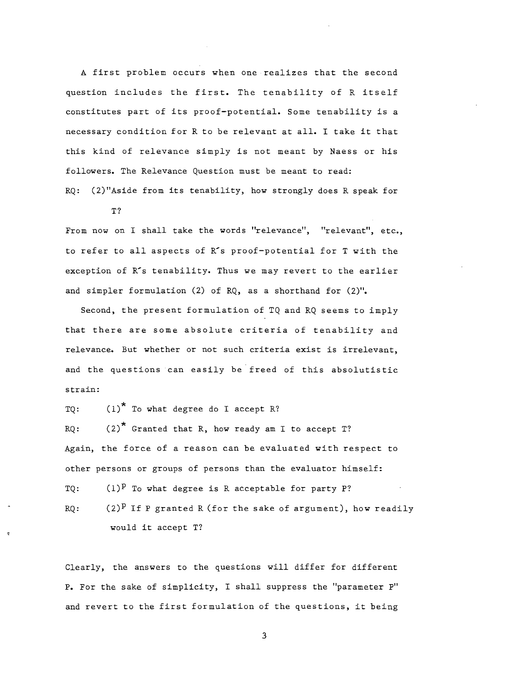A first problem occurs when one realizes that the second question includes the first. The tenability of R itself constitutes part of its proof-potential. Some tenability is a necessary condition for R to be relevant at all. I take it that this kind of relevance simply is not meant by Naess or his followers. The Relevance Question must be meant to read:

RQ: (2)"Aside from its tenability, how strongly does R speak for T?

From now on I shall take the words "relevance", "relevant", etc., to refer to all aspects of R's proof-potential for T with the exception of R's tenability. Thus we may revert to the earlier and simpler formulation (2) of RQ, as a shorthand for (2)".

Second, the present formulation of TQ and RQ seems to imply that there are some absolute criteria of tenability and relevance. But whether or not such criteria exist is irrelevant, and the questions can easily be freed of this absolutistic strain:

TQ:  $(1)^*$  To what degree do I accept R?  $RQ:$  (2)<sup>\*</sup> Granted that R, how ready am I to accept T? Again, the force of a reason can be evaluated with respect to other persons or groups of persons than the evaluator himself: TQ:  $(1)^P$  To what degree is R acceptable for party P? RQ:  $(2)^P$  If P granted R (for the sake of argument), how readily would it accept T?

Clearly, the answers to the questions will differ for different P. For the sake of simplicity, I shall suppress the "parameter p" and revert to the first formulation of the questions, it being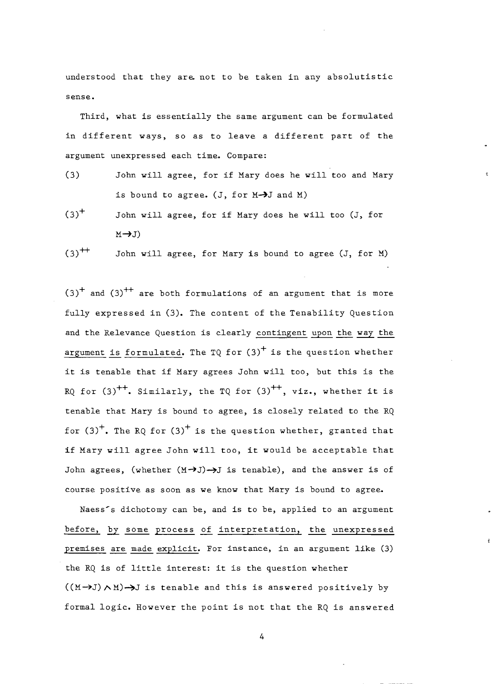understood that they are not to be taken in any absolutistic sense.

Third. what is essentially the same argument can be formulated in different ways. so as to leave a different part of the argument unexpressed each time. Compare:

- (3) John will agree. for if Mary does he will too and Mary is bound to agree.  $(J, for M \rightarrow J$  and M)
- $(3)^{+}$ John will agree, for if Mary does he will too (J, for  $M \rightarrow J$
- $(3)$ <sup>++</sup> John will agree, for Mary is bound to agree (J, for M)

 $(3)^{+}$  and  $(3)^{++}$  are both formulations of an argument that is more fully expressed in (3). The content of the Tenability Question and the Relevance Question is clearly contingent upon the way the argument is formulated. The TQ for  $(3)^+$  is the question whether it is tenable that if Mary agrees John will too, but this is the RQ for  $(3)^{++}$ . Similarly, the TQ for  $(3)^{++}$ , viz., whether it is tenable that Mary is bound to agree, is closely related to the RQ for  $(3)^{+}$ . The RQ for  $(3)^{+}$  is the question whether, granted that if Mary will agree John will too, it would be acceptable that John agrees, (whether  $(M \rightarrow J) \rightarrow J$  is tenable), and the answer is of course positive as soon as we know that Mary is bound to agree.

Naess's dichotomy can be, and is to be, applied to an argument before, by some process of interpretation, the unexpressed premises are made explicit. For instance, in an argument like (3) the RQ is of little interest: it is the question whether  $((M\rightarrow J) \land M)\rightarrow J$  is tenable and this is answered positively by formal logic. However the point is not that the RQ is answered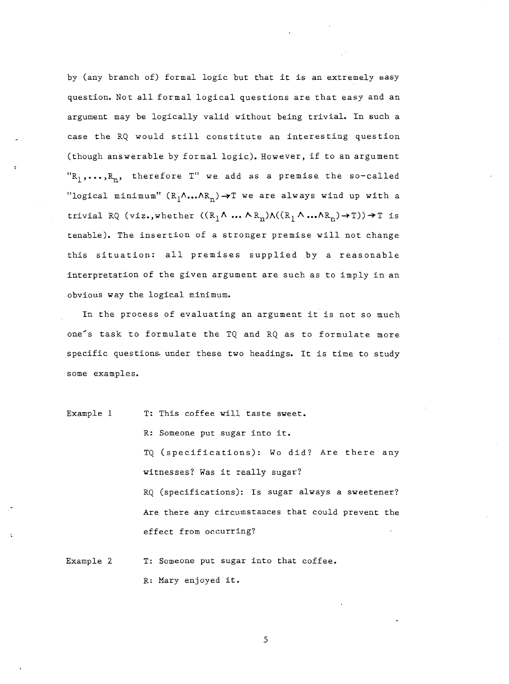by (any branch of) formal logic but that it is an extremely easy question. Not all formal logical questions are that easy and an argument may be logically valid without being trivial. In such a case the RQ would still constitute an interesting question (though answerable by formal logic). However, if to an argument  ${}^{\prime\prime}R_1$ ,..., $R_n$ , therefore T" we add as a premise the so-called "logical minimum"  $(R_1 \land ... \land R_n) \rightarrow T$  we are always wind up with a trivial RQ (viz.,whether  $((R_1 \land ... \land R_n) \land ((R_1 \land ... \land R_n) \rightarrow T)) \rightarrow T$  is tenable). The insertion of a stronger premise will not change this situation: all premises supplied by a reasonable interpretation of the given argument are such as to imply in an obvious way the logical minimum.

In the process of evaluating an argument it is not so much one<sup>-</sup>s task to formulate the TQ and RQ as to formulate more specific questions. under these two headings. It is time to study some examples.

Example I T: This coffee will taste sweet. R: Someone put sugar into it. TQ (specifications): Wo did? Are there any witnesses? Was it really sugar? RQ (specifications): Is sugar always a sweetener? Are there any circumstances that could prevent the effect from occurring?

Example 2 T: Someone put sugar into that coffee. R: Mary enjoyed it.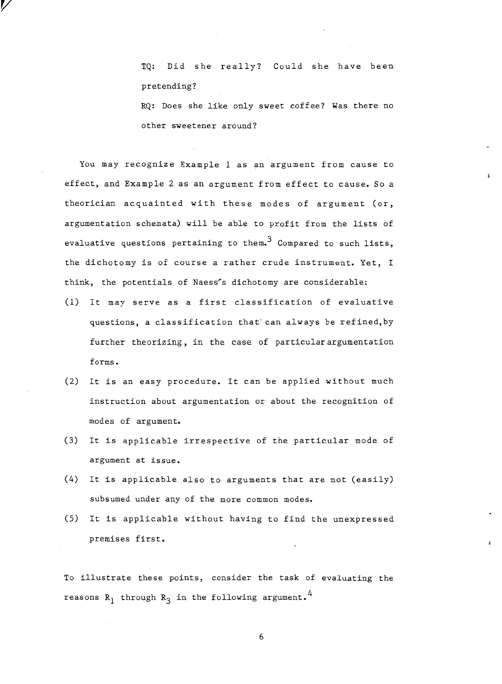TQ: Did she really? Could she have been pretending?

RQ: Does she like only sweet coffee? Was there no other sweetener around?

You may recognize Example I as an argument from cause to effect, and Example 2 as an argument from effect to cause. So a theorician acquainted with these modes of argument (or, argumentation schemata) will be able to profit from the lists of evaluative questions pertaining to them.<sup>3</sup> Compared to such lists, the dichotomy is of course a rather crude instrument. Yet, I think, the potentials of Naess's dichotomy are considerable:

v

- (l) It may serve as a first classification of evaluative questions, a classification that can always be refined, by further theorizing, in the case of particular argumentation forms.
- (2) It is an easy procedure. It can be applied without much instruction about argumentation or about the recognition of modes of argument.
- (3) It is applicable irrespective of the particular mode of argument at issue.
- (4) It is applicable also to arguments that are not (easily) subsumed under any of the more common modes.
- (5) It is applicable without having to find the unexpressed premises first.

To illustrate these points, consider the task of evaluating the reasons  $R_1$  through  $R_3$  in the following argument.<sup>4</sup>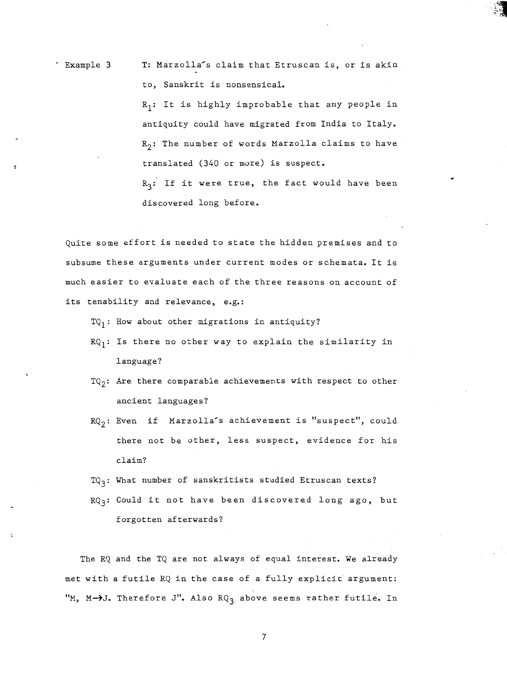· Example 3 T: Marzolla-s claim that Etruscan is, or is akin to, Sanskrit is nonsensical.  $R_1$ : It is highly improbable that any people in antiquity could have migrated from India to Italy.  $R_2$ : The number of words Marzolla claims to have translated (340 or more) is suspect.  $R_3$ : If it were true, the fact would have been discovered long before.

Quite some effort is needed to state the hidden premises and to subsume these arguments under current modes or schemata. It is much easier to evaluate each of the three reasons on account of its tenability and relevance, e.g.:

 $TQ_1$ : How about other migrations in antiquity?

- $RQ_1$ : Is there no other way to explain the similarity in language?
- $TQ_2$ : Are there comparable achievements with respect to other ancient languages?
- $RQ_2$ : Even if Marzolla<sup>-</sup>s achievement is "suspect", could there not be other, less suspect, evidence for his claim?
- $TQ_3$ : What number of sanskritists studied Etruscan texts?
- $RQ_3$ : Could it not have been discovered long ago, but forgotten afterwards?

The RQ and the TQ are not always of equal interest. We already met with a futile RQ in the case of a fully explicit argument: "M, M->J. Therefore J". Also  $RQ_3$  above seems rather futile. In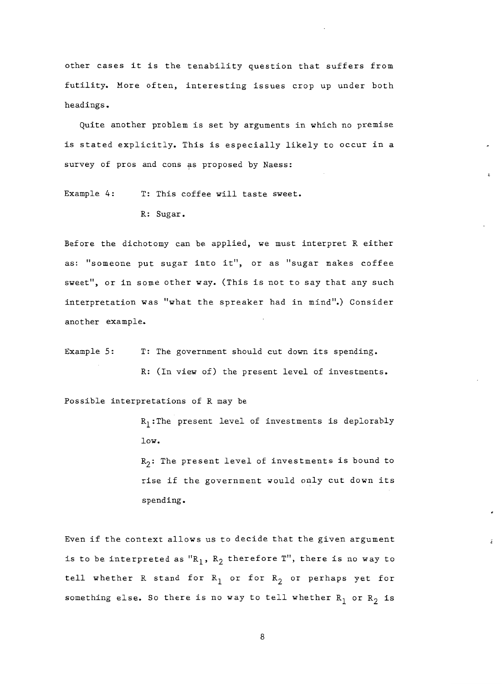other cases it is the tenability question that suffers from futility. More often, interesting issues crop up under both headings.

Quite another problem is set by arguments in which no premise is stated explicitly. This is especially likely to occur in a survey of pros and cons as proposed by Naess:

Example 4: T: This coffee will taste sweet.

R: Sugar.

Before the dichotomy can be applied, we must interpret R either as: "someone put sugar into it", or as "sugar makes coffee sweet", or in some other way. (This is not to say that any such interpretation was "what the spreaker had in mind".) Consider another example.

Example 5: T: The government should cut down its spending. R: (In view of) the present level of investments.

Possible interpretations of R may be

 $R_1$ :The present level of investments is deplorably low.

 $R_2$ : The present level of investments is bound to rise if the government would only cut down its spending.

Even if the context allows us to decide that the given argument is to be interpreted as  ${}^{\prime\prime}R_1$ ,  $R_2$  therefore T", there is no way to tell whether R stand for  $R_1$  or for  $R_2$  or perhaps yet for something else. So there is no way to tell whether  $R_1$  or  $R_2$  is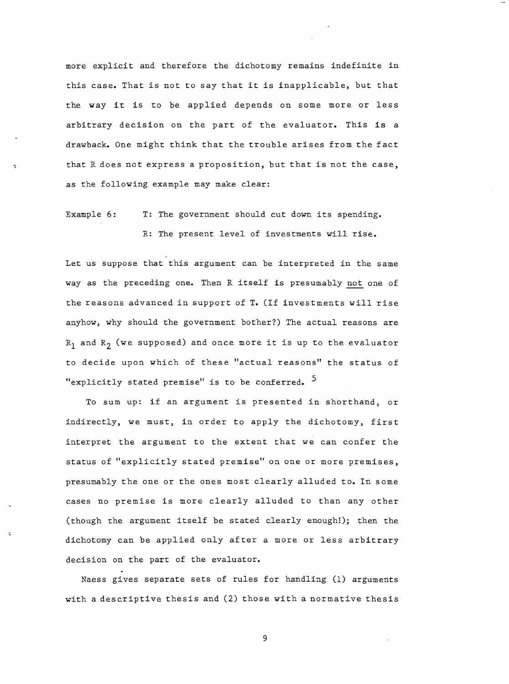more explicit and therefore the dichotomy remains indefinite in this case. That is not to say that it is inapplicable, but that the way it is to be applied depends on some more or less arbitrary decision on the part of the evaluator. This is a drawback. One might think that the trouble arises from the fact that R does not express a proposition, but that is not the case, as the following example may make clear:

Example 6: T: The government should cut down its spending. R: The present level of investments will rise.

Let us suppose that this argument can be interpreted in the same way as the preceding one. Then R itself is presumably not one of the reasons advanced in support of **T.** (If investments will rise anyhow, why should the government bother?) The actual reasons are  $R_1$  and  $R_2$  (we supposed) and once more it is up to the evaluator to decide upon which of these "actual reasons" the status of "explicitly stated premise" is to be conferred. <sup>5</sup>

To sum up: if an argument is presented in shorthand, or indirectly, we must, in order to apply the dichotomy, first interpret the argument to the extent that we can confer the status of "explicitly stated premise" on one or more premises, presumably the one or the ones most clearly alluded to. In some cases no premise is more clearly alluded to than any other (though the argument itself be stated clearly enough!); then the dichotomy can be applied only after a more or less arbitrary decision on the part of the evaluator.

Naess gives separate sets of rules for handling (1) arguments with a descriptive thesis and (2) those with a normative thesis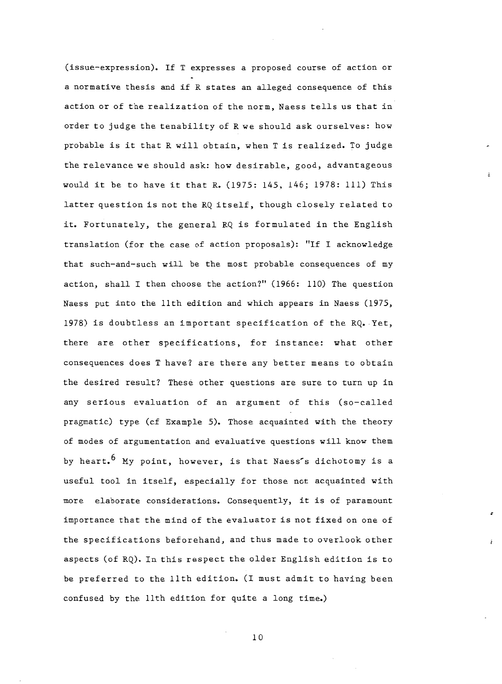(issue-expression). If T expresses a proposed course of action or a normative thesis and if R states an alleged consequence of this action or of the realization of the norm, Naess tells us that in order to judge the tenability of R we should ask ourselves: how probable is it that R will obtain, when T is realized. To judge the relevance we should ask: how desirable, good, advantageous would it be to have it that R. (1975: 145, 146; 1978: Ill) This latter question is not the RQ itself, though closely related to it. Fortunately, the general RQ is formulated in the English translation (for the case of action proposals): "If I acknowledge that such-and-such will be the most probable consequences of my action, shall I then choose the action?" (1966: 110) The question Naess put into the 11th edition and which appears in Naess (1975, 1978) is doubtless an important specification of the RQ. Yet, there are other specifications, for instance: what other consequences does T have? are there any better means to obtain the desired result? These other questions are sure to turn up in any serious evaluation of an argument of this (so-called pragmatic) type (cf Example 5). Those acquainted with the theory of modes of argumentation and evaluative questions will know them by heart.<sup>6</sup> My point, however, is that Naess's dichotomy is a useful tool in itself, especially for those not acquainted with more elaborate considerations. Consequently, it is of paramount importance that the mind of the evaluator is not fixed on one of the specifications beforehand, and thus made to overlook other aspects (of RQ). In this respect the older English edition is to be preferred to the 11th edition. (I must admit to having been confused by the 11th edition for quite a long time.)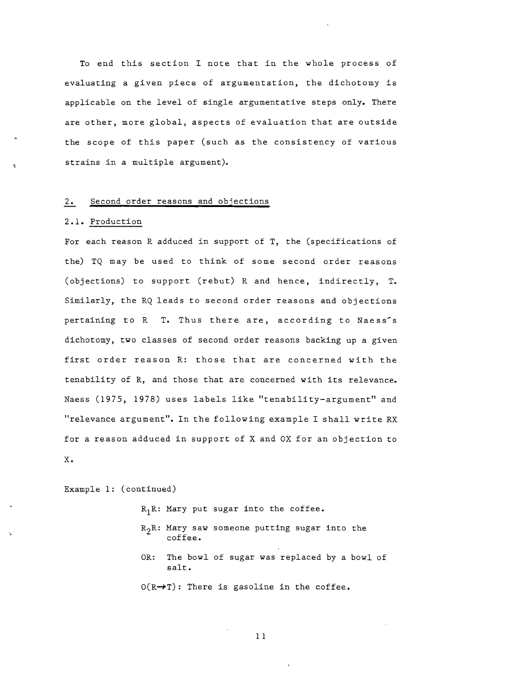To end this section I note that in the whole process of evaluating a given piece of argumentation, the dichotomy is applicable on the level of single argumentative steps only. There are other, more global, aspects of evaluation that are outside the scope of this paper (such as the consistency of various strains in a multiple argument).

#### 2. Second order reasons and objections

#### 2.1. Production

For each reason R adduced in support of T, the (specifications of the) TQ may be used to think of some second order reasons (objections) to support (rebut) R and hence, indirectly, T. Similarly, the RQ leads to second order reasons and objections pertaining to R T. Thus there are, according to Naess's dichotomy, two classes of second order reasons backing up a given first order reason R: those that are concerned with the tenability of R, and those that are concerned with its relevance. Naess (1975, 1978) uses labels like "tenability-argument" and "relevance argument". In the following example I shall write RX for a reason adduced in support of X and OX for an objection to X.

Example 1: (continued)

 $R_1R$ : Mary put sugar into the coffee.  $R_2R$ : Mary saw someone putting sugar into the coffee. OR: The bowl of sugar was replaced by a bowl of salt.  $O(R \rightarrow T)$ : There is gasoline in the coffee.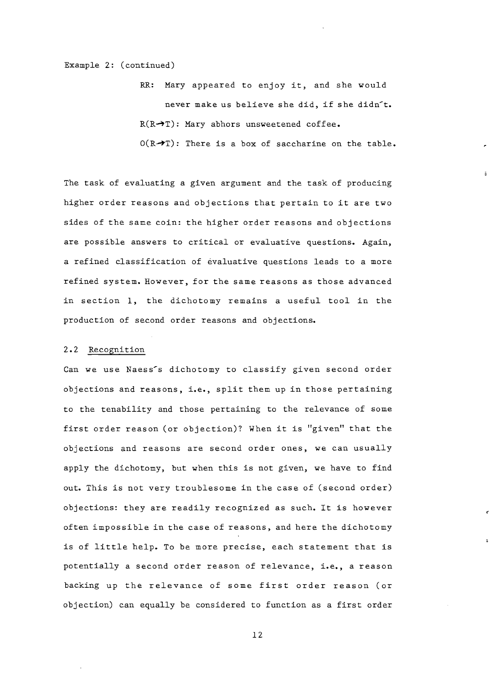Example 2: (continued)

RR: Mary appeared to enjoy it, and she would never make us believe she did, if she didn<sup>t</sup>.  $R(R\rightarrow T)$ : Mary abhors unsweetened coffee.  $O(R \rightarrow T)$ : There is a box of saccharine on the table.

The task of evaluating a given argument and the task of producing higher order reasons and objections that pertain to it are two sides of the same coin: the higher order reasons and objections are possible answers to critical or evaluative questions. Again, a refined classification of evaluative questions leads to a more refined system. However, for the same reasons as those advanced in section 1, the dichotomy remains a useful tool in the production of second order reasons and objections.

#### 2.2 Recognition

Can we use Naess's dichotomy to classify given second order objections and reasons, i.e., split them up in those pertaining to the tenability and those pertaining to the relevance of some first order reason (or objection)? When it is "given" that the objections and reasons are second order ones, we can usually apply the dichotomy, but when this is not given, we have to find out. This is not very troublesome in the case of (second order) objections: they are readily recognized as such. It is however often impossible in the case of reasons, and here the dichotomy is of little help. To be more precise, each statement that is potentially a second order reason of relevance, i.e., a reason backing up the relevance of some first order reason (or objection) can equally be considered to function as a first order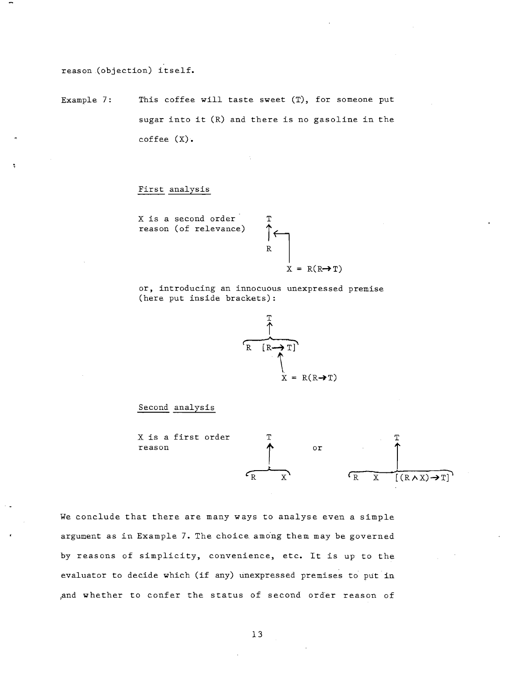reason (objection) itself.

Example 7: This coffee will taste sweet (T), for someone put sugar into it (R) and there is no gasoline in the coffee (X).

### First analysis

X is a second order reason (of relevance)

$$
\begin{array}{c}\n \uparrow \\
R \\
\uparrow \\
X = R(R \rightarrow T)\n \end{array}
$$

or, introducing an innocuous unexpressed premise (here put inside brackets):

T



#### Second analysis



We conclude that there are many ways to analyse even a simple argument as in Example 7. The choice among them may be governed by reasons of simplicity, convenience, etc. It is up to the evaluator to decide which (if any) unexpressed premises to put in ,and whether to confer the status of second order reason of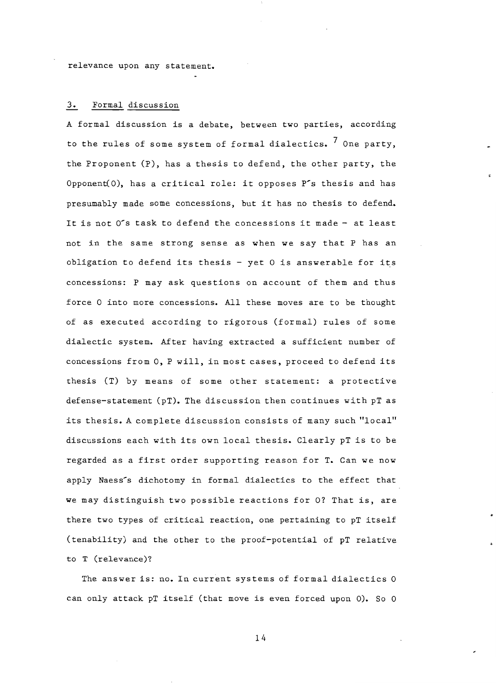relevance upon any statement.

## 3. Formal discussion

A formal discussion is a debate, between two parties, according to the rules of some system of formal dialectics.  $7$  One party, the Proponent (p), has a thesis to defend, the other party, the Opponent(O), has a critical role: it opposes P's thesis and has presumably made some concessions, but it has no thesis to defend. It is not  $0'$ s task to defend the concessions it made - at least not in the same strong sense as when we say that P has an obligation to defend its thesis  $-$  yet  $0$  is answerable for its concessions: P may ask questions on account of them and thus force 0 into more concessions. All these moves are to be thought of as executed according to rigorous (formal) rules of some dialectic system. After having extracted a sufficient number of concessions from 0, P will, in most cases, proceed to defend its thesis (T) by means of some other statement: a protective defense-statement (pT). The discussion then continues with pT as its thesis. A complete discussion consists of many such "local" discussions each with its own local thesis. Clearly pT is to be regarded as a first order supporting reason for T. Can we now apply Naess's dichotomy in formal dialectics to the effect that we may distinguish two possible reactions for 0? That is, are there two types of critical reaction, one pertaining to pT itself (tenability) and the other to the proof-potential of pT relative to T (relevance)?

The answer is: no. In current systems of formal dialectics 0 can only attack pT itself (that move is even forced upon 0). So 0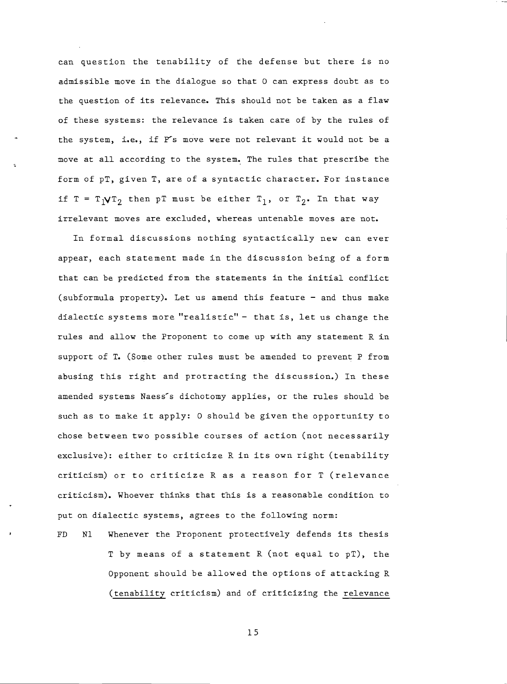can question the tenability of the defense but there is no admissible move in the dialogue so that 0 can express doubt as to the question of its relevance. This should not be taken as a flaw of these systems: the relevance is taken care of by the rules of the system, i.e., if P's move were not relevant it would not be a move at all according to the system. The rules that prescribe the form of pT, given T, are of a syntactic character. For instance if T =  $T_1VT_2$  then pT must be either  $T_1$ , or  $T_2$ . In that way irrelevant moves are excluded, whereas untenable moves are not.

In formal discussions nothing syntactically new can ever appear, each statement made in the discussion being of a form that can be predicted from the statements in the initial conflict (subformula property). Let us amend this feature - and thus make dialectic systems more "realistic" - that is, let us change the rules and allow the Proponent to come up with any statement R in support of **T.** (Some other rules must be amended to prevent P from abusing this right and protracting the discussion.) In these amended systems Naess's dichotomy applies, or the rules should be such as to make it apply: 0 should be given the opportunity to chose between two possible courses of action (not necessarily exclusive): either to criticize R in its own right (tenability criticism) or to criticize R as a reason for T (relevance criticism). Whoever thinks that this is a reasonable condition to put on dialectic systems, agrees to the following norm:

FD NI Whenever the Proponent protectively defends its thesis T by means of a statement R (not equal to pT), the Opponent should be allowed the options of attacking R (tenability criticism) and of criticizing the relevance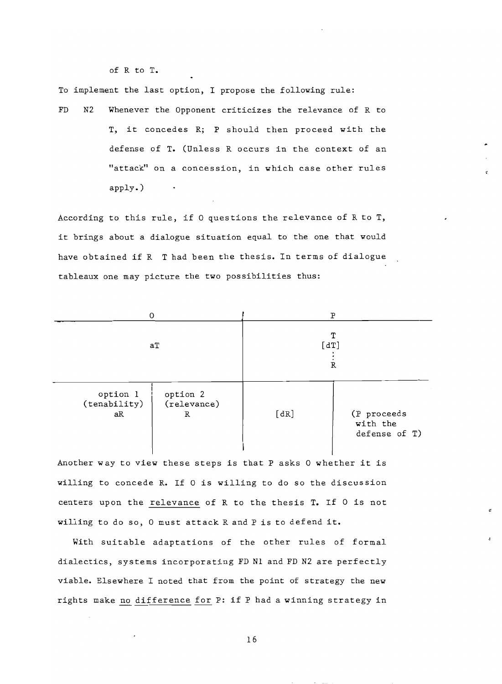of R to T.

To implement the last option, I propose the following rule:

FD N2 Whenever the Opponent criticizes the relevance of R to T, it concedes R; P should then proceed with the defense of T. (Unless R occurs in the context of an "attack" on a concession, in which case other rules apply. )

According to this rule, if 0 questions the relevance of R to T, it brings about a dialogue situation equal to the one that would have obtained if R T had been the thesis. In terms of dialogue tableaux one may picture the two possibilities thus:

| 0                              |                              | P              |                                             |
|--------------------------------|------------------------------|----------------|---------------------------------------------|
| aT                             |                              | T<br>[dT]<br>R |                                             |
| option l<br>(tenability)<br>aR | option 2<br>(relevance)<br>R | [dR]           | (P proceeds<br>with the<br>defense of $T$ ) |

Another way to view these steps is that P asks 0 whether it is willing to concede R. If 0 is willing to do so the discussion centers upon the relevance of R to the thesis T. If 0 is not willing to do so, 0 must attack R and P is to defend it.

With suitable adaptations of the other rules of formal dialectics, systems incorporating FD NI and FD N2 are perfectly viable. Elsewhere I noted that from the point of strategy the new rights make no difference for P: if P had a winning strategy in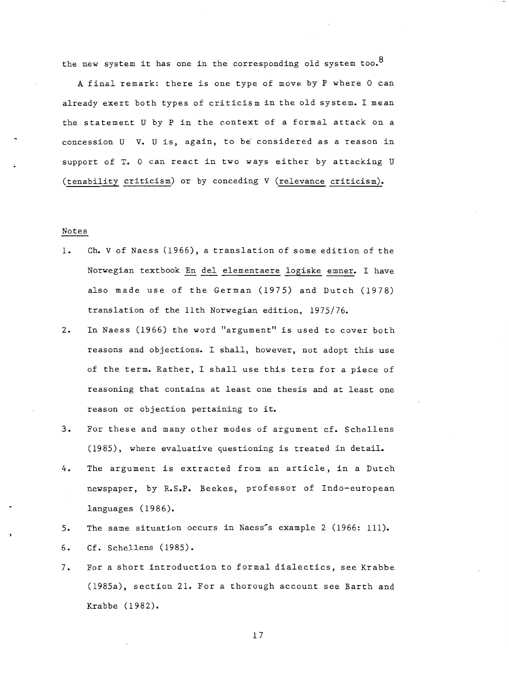the new system it has one in the corresponding old system too.<sup>8</sup>

l

<sup>A</sup>final remark: there is one type of move by P where 0 can already exert both types of criticism in the old system. I mean the statement U by P in the context of a formal attack on a concession  $U$  V.  $U$  is, again, to be considered as a reason in support of T. 0 can react in two ways either by attacking <sup>U</sup> (tenability criticism) or by conceding V (relevance criticism).

#### Notes

- 1. Ch. V of Naess (1966), a translation of some edition of the Norwegian textbook En del elementaere logiske emner. I have also made use of the German (1975) and Dutch (1978) translation of the 11th Norwegian edition, 1975/76.
- 2. In Naess (1966) the word "argument" is used to cover both reasons and objections. I shall, however, not adopt this use of the term. Rather, I shall use this term for a piece of reasoning that contains at least one thesis and at least one reason or objection pertaining to it.
- 3. For these and many other modes of argument cf. Schellens (1985), where evaluative questioning is treated in detail.
- 4. The argument is extracted from an article, in a Dutch newspaper, by R.S.P. Beekes, professor of Indo-european languages (1986).
- 5. The same situation occurs in Naess's example 2 (1966: 111). 6. Cf. Schellens (1985).
- 7. For a short introduction to formal dialectics, see Krabbe (1985a), section 21. For a thorough account see Barth and Krabbe (1982).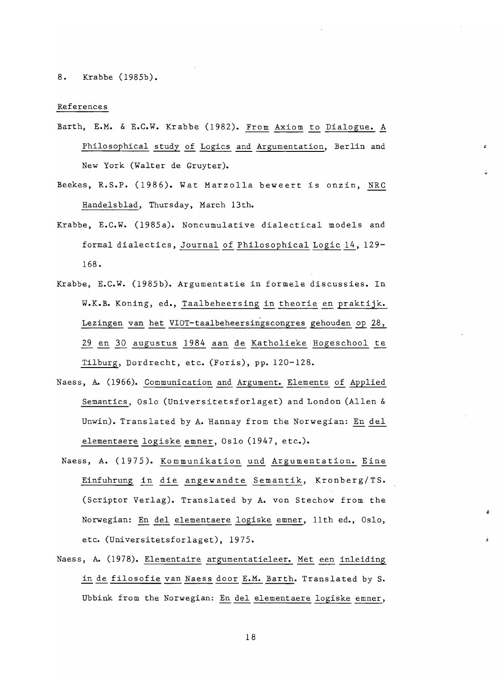8. Krabbe (1985b).

#### References

- Barth, E.M. & E.C.W. Krabbe (1982). From Axiom to Dialogue. A Philosophical study of Logics and Argumentation, Berlin and New York (Walter de Gruyter).
- Beekes, R.S.P. (1986). Wat Marzolla beweert is onzin, NRC Handelsblad, Thursday, March 13th.
- Krabbe, E.C.W. (1985a). Noncumulative dialectical models and formal dialectics, Journal of Philosophical Logic 14, 129-168.
- Krabbe, E.C.W. (1985b). Argumentatie in formele discussies. In W.K.B. Koning, ed., Taalbeheersing in theorie en praktijk. Lezingen van het VIOT-taalbeheersingscongres gehouden op 28, 29 en 30 augustus 1984 aan de Katholieke Hogeschool te Tilburg, Dordrecht, etc. (Foris), pp. 120-128.
- Naess, A. (1966). Communication and Argument. Elements of Applied Semantics, Oslo (Universitetsforlaget) and London (Allen & Unwin). Translated by A. Hannay from the Norwegian: En del elementaere logiske emner, Oslo (1947, etc.).
- Naess, A. (1975). Kommunikation und Argumentation. Eine Einfuhrung in die angewandte Semantik, Kronberg/TS. (Scriptor Verlag). Translated by A. von Stechow from the Norwegian: En del elementaere logiske emner, 11th ed., Oslo, etc. (Universitetsforlaget), 1975.
- Naess, A. (1978). Elementaire argumentatieleer. Met een inleiding in de filosofie van Naess door E.M. Barth. Translated by S. Ubbink from the Norwegian: En del elementaere logiske emner,